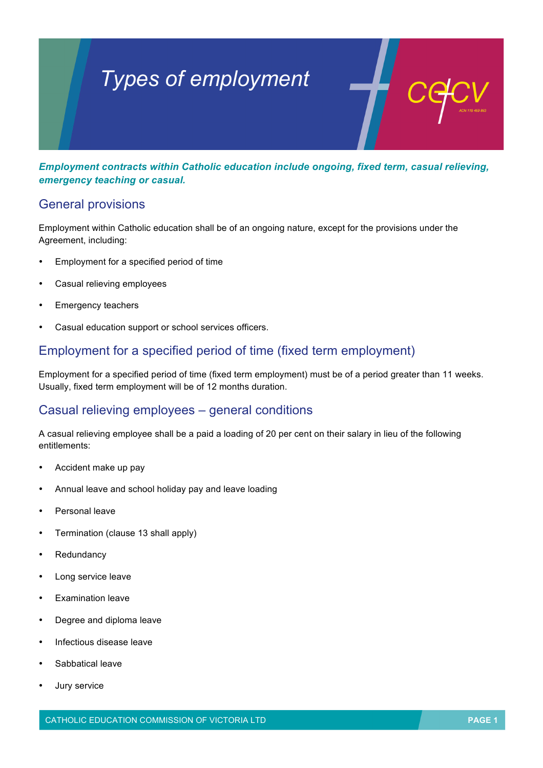# *Types of employment*

*Employment contracts within Catholic education include ongoing, fixed term, casual relieving, emergency teaching or casual.*

## General provisions

Employment within Catholic education shall be of an ongoing nature, except for the provisions under the Agreement, including:

- Employment for a specified period of time
- Casual relieving employees
- Emergency teachers
- Casual education support or school services officers.

## Employment for a specified period of time (fixed term employment)

Employment for a specified period of time (fixed term employment) must be of a period greater than 11 weeks. Usually, fixed term employment will be of 12 months duration.

#### Casual relieving employees – general conditions

A casual relieving employee shall be a paid a loading of 20 per cent on their salary in lieu of the following entitlements:

- Accident make up pay
- Annual leave and school holiday pay and leave loading
- Personal leave
- Termination (clause 13 shall apply)
- Redundancy
- Long service leave
- Examination leave
- Degree and diploma leave
- Infectious disease leave
- Sabbatical leave
- Jury service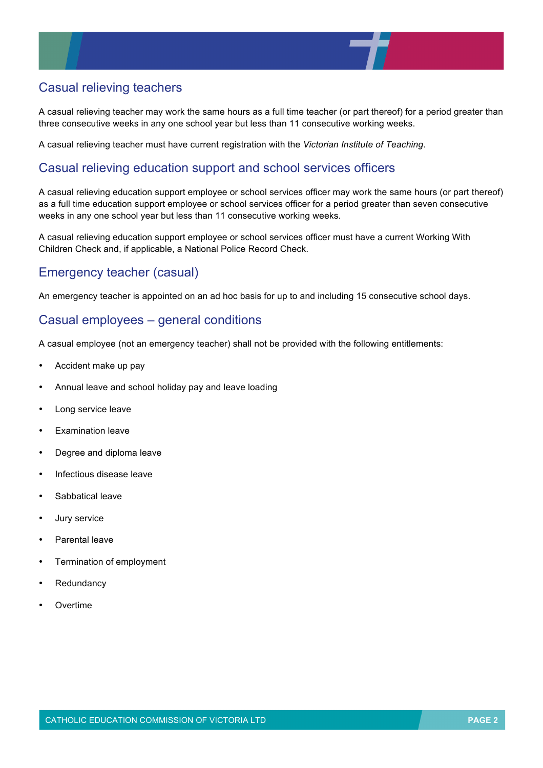

# Casual relieving teachers

A casual relieving teacher may work the same hours as a full time teacher (or part thereof) for a period greater than three consecutive weeks in any one school year but less than 11 consecutive working weeks.

A casual relieving teacher must have current registration with the *Victorian Institute of Teaching*.

## Casual relieving education support and school services officers

A casual relieving education support employee or school services officer may work the same hours (or part thereof) as a full time education support employee or school services officer for a period greater than seven consecutive weeks in any one school year but less than 11 consecutive working weeks.

A casual relieving education support employee or school services officer must have a current Working With Children Check and, if applicable, a National Police Record Check.

## Emergency teacher (casual)

An emergency teacher is appointed on an ad hoc basis for up to and including 15 consecutive school days.

#### Casual employees – general conditions

A casual employee (not an emergency teacher) shall not be provided with the following entitlements:

- Accident make up pay
- Annual leave and school holiday pay and leave loading
- Long service leave
- Examination leave
- Degree and diploma leave
- Infectious disease leave
- Sabbatical leave
- Jury service
- Parental leave
- Termination of employment
- **Redundancy**
- **Overtime**